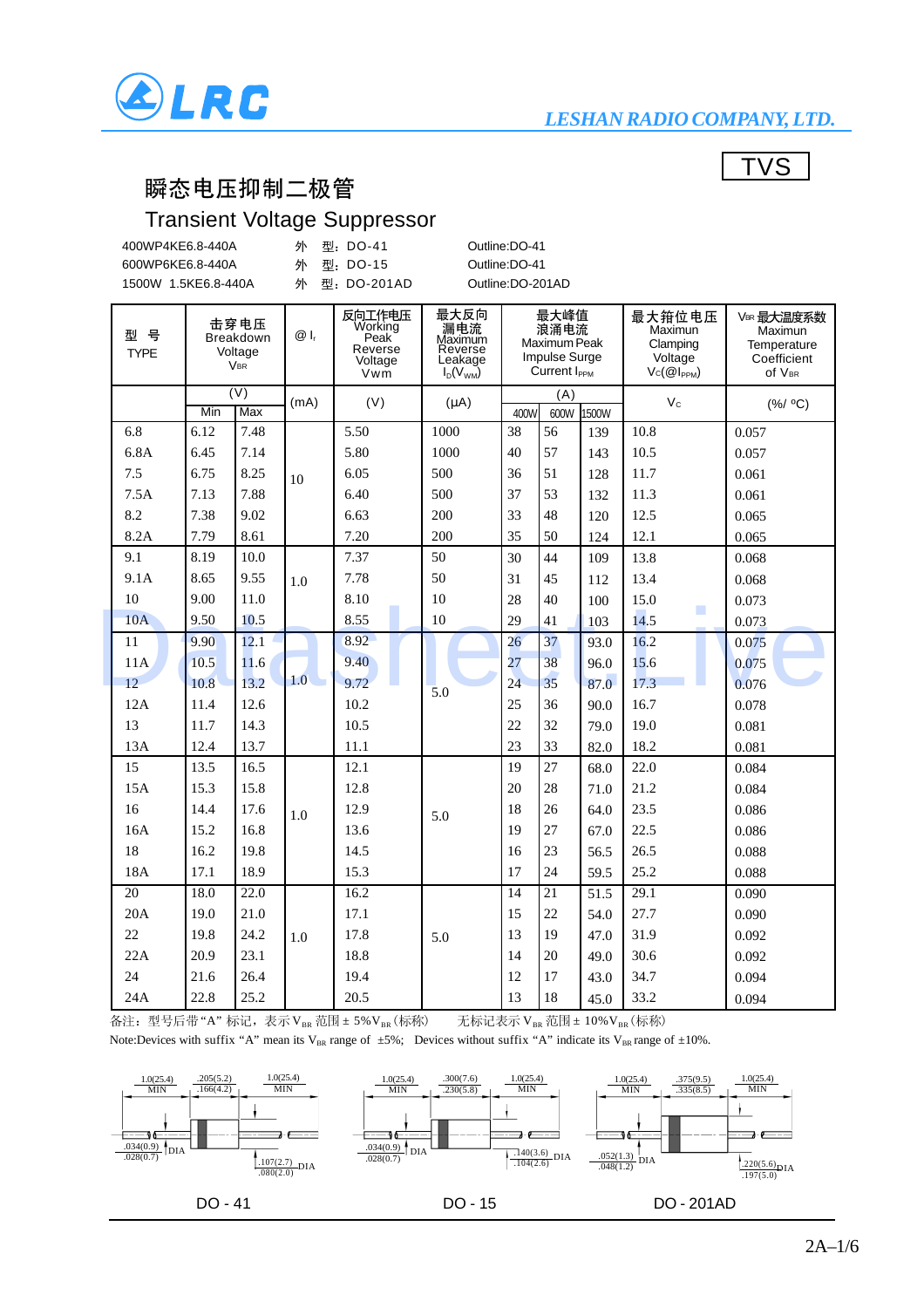

#### *LESHAN RADIO COMPANY, LTD.*

**TVS** 

#### 瞬态电压抑制二极管

### Transient Voltage Suppressor

| 400WP4KE6.8-440A    | 外 型: DO-41   | Outline:DO-41    |
|---------------------|--------------|------------------|
| 600WP6KE6.8-440A    | 外 型: DO-15   | Outline:DO-41    |
| 1500W 1.5KE6.8-440A | 外 型:DO-201AD | Outline:DO-201AD |

| 뮥<br>型<br><b>TYPE</b> | 击穿电压<br>Breakdown<br>Voltage<br><b>VBR</b> |                                |      |      |           |      |     |            | $@I_r$    | 反向工作电压<br>Working<br>Peak<br>Reverse<br>Voltage<br>Vwm | 最大反向<br>漏电流<br>Maximum<br>Reverse<br>Leakage<br>$I_D(V_{WM})$ |  | 最大峰值<br>浪涌电流<br>Maximum Peak<br><b>Impulse Surge</b><br>Current I <sub>PPM</sub> |  | 最大箝位电压<br>Maximun<br>Clamping<br>Voltage<br>$Vc(\mathcal{Q}I_{PPM})$ | VBR 最大温度系数<br>Maximun<br>Temperature<br>Coefficient<br>Of VBR |
|-----------------------|--------------------------------------------|--------------------------------|------|------|-----------|------|-----|------------|-----------|--------------------------------------------------------|---------------------------------------------------------------|--|----------------------------------------------------------------------------------|--|----------------------------------------------------------------------|---------------------------------------------------------------|
|                       | Min                                        | $\overline{(V)}$<br><b>Max</b> | (mA) | (V)  | $(\mu A)$ | 400W | (A) | 600W 1500W | $V_c$     | (% / OC)                                               |                                                               |  |                                                                                  |  |                                                                      |                                                               |
| 6.8                   | 6.12                                       | 7.48                           |      | 5.50 | 1000      | 38   | 56  | 139        | 10.8      | 0.057                                                  |                                                               |  |                                                                                  |  |                                                                      |                                                               |
| 6.8A                  | 6.45                                       | 7.14                           |      | 5.80 | 1000      | 40   | 57  | 143        | 10.5      | 0.057                                                  |                                                               |  |                                                                                  |  |                                                                      |                                                               |
| 7.5                   | 6.75                                       | 8.25                           | 10   | 6.05 | 500       | 36   | 51  | 128        | 11.7      | 0.061                                                  |                                                               |  |                                                                                  |  |                                                                      |                                                               |
| 7.5A                  | 7.13                                       | 7.88                           |      | 6.40 | 500       | 37   | 53  | 132        | 11.3      | 0.061                                                  |                                                               |  |                                                                                  |  |                                                                      |                                                               |
| 8.2                   | 7.38                                       | 9.02                           |      | 6.63 | 200       | 33   | 48  | 120        | 12.5      | 0.065                                                  |                                                               |  |                                                                                  |  |                                                                      |                                                               |
| 8.2A                  | 7.79                                       | 8.61                           |      | 7.20 | 200       | 35   | 50  | 124        | 12.1      | 0.065                                                  |                                                               |  |                                                                                  |  |                                                                      |                                                               |
| 9.1                   | 8.19                                       | 10.0                           |      | 7.37 | 50        | 30   | 44  | 109        | 13.8      | 0.068                                                  |                                                               |  |                                                                                  |  |                                                                      |                                                               |
| 9.1A                  | 8.65                                       | 9.55                           | 1.0  | 7.78 | 50        | 31   | 45  | 112        | 13.4      | 0.068                                                  |                                                               |  |                                                                                  |  |                                                                      |                                                               |
| 10                    | 9.00                                       | 11.0                           |      | 8.10 | 10        | 28   | 40  | 100        | 15.0      | 0.073                                                  |                                                               |  |                                                                                  |  |                                                                      |                                                               |
| 10A                   | 9.50                                       | 10.5                           |      | 8.55 | 10        | 29   | 41  | 103        | ш<br>14.5 | 0.073                                                  |                                                               |  |                                                                                  |  |                                                                      |                                                               |
| 11                    | 9.90                                       | 12.1                           |      | 8.92 |           | 26   | 37  | 93.0       | 16.2      | 0.075                                                  |                                                               |  |                                                                                  |  |                                                                      |                                                               |
| 11A                   | 10.5                                       | 11.6                           |      | 9.40 |           | 27   | 38  | 96.0       | 15.6      | 0.075                                                  |                                                               |  |                                                                                  |  |                                                                      |                                                               |
| 12                    | 10.8                                       | 13.2                           | 1.0  | 9.72 | 5.0       | 24   | 35  | 87.0       | 17.3      | 0.076                                                  |                                                               |  |                                                                                  |  |                                                                      |                                                               |
| 12A                   | 11.4                                       | 12.6                           |      | 10.2 |           | 25   | 36  | 90.0       | 16.7      | 0.078                                                  |                                                               |  |                                                                                  |  |                                                                      |                                                               |
| 13                    | 11.7                                       | 14.3                           |      | 10.5 |           | 22   | 32  | 79.0       | 19.0      | 0.081                                                  |                                                               |  |                                                                                  |  |                                                                      |                                                               |
| 13A                   | 12.4                                       | 13.7                           |      | 11.1 |           | 23   | 33  | 82.0       | 18.2      | 0.081                                                  |                                                               |  |                                                                                  |  |                                                                      |                                                               |
| 15                    | 13.5                                       | 16.5                           |      | 12.1 |           | 19   | 27  | 68.0       | 22.0      | 0.084                                                  |                                                               |  |                                                                                  |  |                                                                      |                                                               |
| 15A                   | 15.3                                       | 15.8                           |      | 12.8 |           | 20   | 28  | 71.0       | 21.2      | 0.084                                                  |                                                               |  |                                                                                  |  |                                                                      |                                                               |
| 16                    | 14.4                                       | 17.6                           | 1.0  | 12.9 | 5.0       | 18   | 26  | 64.0       | 23.5      | 0.086                                                  |                                                               |  |                                                                                  |  |                                                                      |                                                               |
| 16A                   | 15.2                                       | 16.8                           |      | 13.6 |           | 19   | 27  | 67.0       | 22.5      | 0.086                                                  |                                                               |  |                                                                                  |  |                                                                      |                                                               |
| 18                    | 16.2                                       | 19.8                           |      | 14.5 |           | 16   | 23  | 56.5       | 26.5      | 0.088                                                  |                                                               |  |                                                                                  |  |                                                                      |                                                               |
| 18A                   | 17.1                                       | 18.9                           |      | 15.3 |           | 17   | 24  | 59.5       | 25.2      | 0.088                                                  |                                                               |  |                                                                                  |  |                                                                      |                                                               |
| 20                    | 18.0                                       | 22.0                           |      | 16.2 |           | 14   | 21  | 51.5       | 29.1      | 0.090                                                  |                                                               |  |                                                                                  |  |                                                                      |                                                               |
| 20A                   | 19.0                                       | 21.0                           |      | 17.1 |           | 15   | 22  | 54.0       | 27.7      | 0.090                                                  |                                                               |  |                                                                                  |  |                                                                      |                                                               |
| 22                    | 19.8                                       | 24.2                           | 1.0  | 17.8 | 5.0       | 13   | 19  | 47.0       | 31.9      | 0.092                                                  |                                                               |  |                                                                                  |  |                                                                      |                                                               |
| 22A                   | 20.9                                       | 23.1                           |      | 18.8 |           | 14   | 20  | 49.0       | 30.6      | 0.092                                                  |                                                               |  |                                                                                  |  |                                                                      |                                                               |
| 24                    | 21.6                                       | 26.4                           |      | 19.4 |           | 12   | 17  | 43.0       | 34.7      | 0.094                                                  |                                                               |  |                                                                                  |  |                                                                      |                                                               |
| 24A                   | 22.8                                       | 25.2                           |      | 20.5 |           | 13   | 18  | 45.0       | 33.2      | 0.094                                                  |                                                               |  |                                                                                  |  |                                                                      |                                                               |

 $\overline{A}$ 注: 型号后带"A"标记,表示VBR 范围 ± 5%VBR (标称)<br>无标记表示VBR 范围 ± 10%VBR (标称)

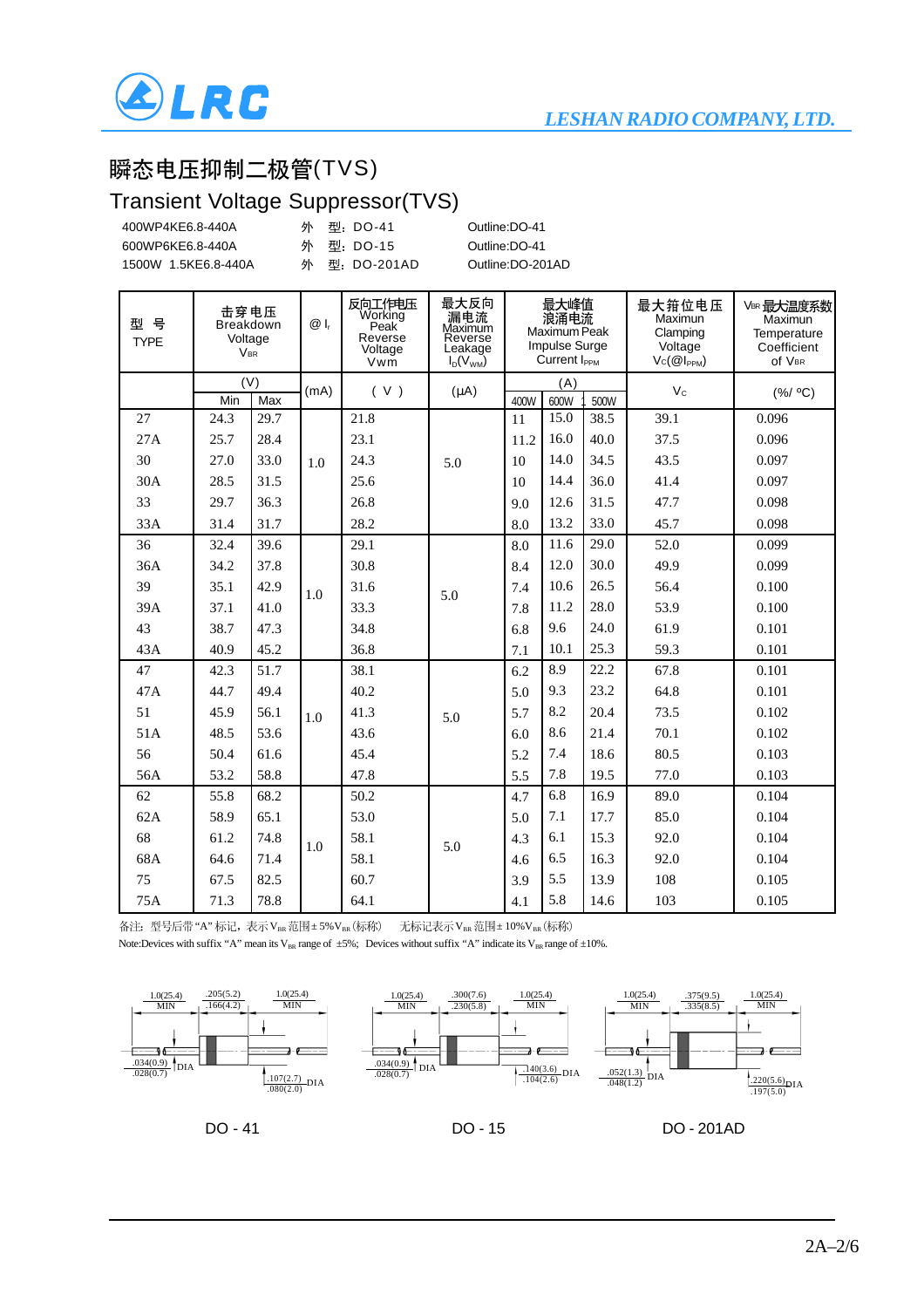

### 瞬态电压抑制二极管(TVS)

#### Transient Voltage Suppressor(TVS)

|                  |                     |                                                   |      |      | Transient Voltage Suppressor(TVS) |           |                  |          |                                                        |                                                               |          |                                                                           |  |                                                                      |                                                               |
|------------------|---------------------|---------------------------------------------------|------|------|-----------------------------------|-----------|------------------|----------|--------------------------------------------------------|---------------------------------------------------------------|----------|---------------------------------------------------------------------------|--|----------------------------------------------------------------------|---------------------------------------------------------------|
| 400WP4KE6.8-440A |                     |                                                   |      | 外    | 型: DO-41                          |           | Outline:DO-41    |          |                                                        |                                                               |          |                                                                           |  |                                                                      |                                                               |
| 600WP6KE6.8-440A |                     |                                                   |      | 外    | 型: DO-15                          |           | Outline:DO-41    |          |                                                        |                                                               |          |                                                                           |  |                                                                      |                                                               |
|                  | 1500W 1.5KE6.8-440A |                                                   |      | 外    | 型: DO-201AD                       |           | Outline:DO-201AD |          |                                                        |                                                               |          |                                                                           |  |                                                                      |                                                               |
|                  |                     |                                                   |      |      |                                   |           |                  |          |                                                        |                                                               |          |                                                                           |  |                                                                      |                                                               |
|                  | 型 号<br><b>TYPE</b>  | 击穿电压<br><b>Breakdown</b><br>Voltage<br><b>VBR</b> |      |      |                                   |           |                  | $@I_{r}$ | 反向工作电压<br>Working<br>Peak<br>Reverse<br>Voltage<br>Vwm | 最大反向<br>漏电流<br>Maximum<br>Reverse<br>Leakage<br>$I_D(V_{WM})$ |          | 最大峰值<br>浪涌电流<br>Maximum Peak<br>Impulse Surge<br>Current I <sub>PPM</sub> |  | 最大箝位电压<br>Maximun<br>Clamping<br>Voltage<br>$Vc(\mathcal{Q}I_{PPM})$ | VBR 最大温度系数<br>Maximun<br>Temperature<br>Coefficient<br>Of VBR |
|                  |                     |                                                   | (V)  | (mA) | (V)                               | $(\mu A)$ |                  | (A)      |                                                        | $V_c$                                                         | (% / OC) |                                                                           |  |                                                                      |                                                               |
|                  |                     | Min                                               | Max  |      |                                   |           | 400W             | 600W     | 500W                                                   |                                                               |          |                                                                           |  |                                                                      |                                                               |
|                  | 27                  | 24.3                                              | 29.7 |      | 21.8                              |           | 11               | 15.0     | 38.5                                                   | 39.1                                                          | 0.096    |                                                                           |  |                                                                      |                                                               |
|                  | 27A                 | 25.7                                              | 28.4 |      | 23.1                              |           | 11.2             | 16.0     | 40.0                                                   | 37.5                                                          | 0.096    |                                                                           |  |                                                                      |                                                               |
|                  | 30                  | 27.0                                              | 33.0 | 1.0  | 24.3                              | 5.0       | 10               | 14.0     | 34.5                                                   | 43.5                                                          | 0.097    |                                                                           |  |                                                                      |                                                               |
|                  | 30A                 | 28.5                                              | 31.5 |      | 25.6                              |           | 10               | 14.4     | 36.0                                                   | 41.4                                                          | 0.097    |                                                                           |  |                                                                      |                                                               |
|                  | 33                  | 29.7                                              | 36.3 |      | 26.8                              |           | 9.0              | 12.6     | 31.5                                                   | 47.7                                                          | 0.098    |                                                                           |  |                                                                      |                                                               |
|                  | 33A                 | 31.4                                              | 31.7 |      | 28.2                              |           | 8.0              | 13.2     | 33.0                                                   | 45.7                                                          | 0.098    |                                                                           |  |                                                                      |                                                               |
|                  | 36                  | 32.4                                              | 39.6 |      | 29.1                              |           | 8.0              | 11.6     | 29.0                                                   | 52.0                                                          | 0.099    |                                                                           |  |                                                                      |                                                               |
|                  | 36A                 | 34.2                                              | 37.8 |      | 30.8                              |           | 8.4              | 12.0     | 30.0                                                   | 49.9                                                          | 0.099    |                                                                           |  |                                                                      |                                                               |
|                  | 39                  | 35.1                                              | 42.9 | 1.0  | 31.6                              | 5.0       | 7.4              | 10.6     | 26.5                                                   | 56.4                                                          | 0.100    |                                                                           |  |                                                                      |                                                               |
|                  | 39A                 | 37.1                                              | 41.0 |      | 33.3                              |           | 7.8              | 11.2     | 28.0                                                   | 53.9                                                          | 0.100    |                                                                           |  |                                                                      |                                                               |
|                  | 43                  | 38.7                                              | 47.3 |      | 34.8                              |           | 6.8              | 9.6      | 24.0                                                   | 61.9                                                          | 0.101    |                                                                           |  |                                                                      |                                                               |
|                  | 43A                 | 40.9                                              | 45.2 |      | 36.8                              |           | 7.1              | 10.1     | 25.3                                                   | 59.3                                                          | 0.101    |                                                                           |  |                                                                      |                                                               |
|                  | 47                  | 42.3                                              | 51.7 |      | 38.1                              |           | 6.2              | 8.9      | 22.2                                                   | 67.8                                                          | 0.101    |                                                                           |  |                                                                      |                                                               |
|                  | 47A                 | 44.7                                              | 49.4 |      | 40.2                              |           | 5.0              | 9.3      | 23.2                                                   | 64.8                                                          | 0.101    |                                                                           |  |                                                                      |                                                               |
|                  | 51                  | 45.9                                              | 56.1 | 1.0  | 41.3                              | 5.0       | 5.7              | 8.2      | 20.4                                                   | 73.5                                                          | 0.102    |                                                                           |  |                                                                      |                                                               |
|                  | 51A                 | 48.5                                              | 53.6 |      | 43.6                              |           | 6.0              | 8.6      | 21.4                                                   | 70.1                                                          | 0.102    |                                                                           |  |                                                                      |                                                               |
|                  | 56                  | 50.4                                              | 61.6 |      | 45.4                              |           | 5.2              | 7.4      | 18.6                                                   | 80.5                                                          | 0.103    |                                                                           |  |                                                                      |                                                               |

各注: 型号后带"A"标记,表示VBR范围±5%VBR(标称) 无标记表示VBR范围±10%VBR(标称)

Note:Devices with suffix "A" mean its V<sub>BR</sub> range of  $\pm 5\%$ ; Devices without suffix "A" indicate its V<sub>BR</sub> range of  $\pm 10\%$ .

47.8 50.2 53.0 58.1 58.1 60.7 64.1

 $1.0 \quad$   $38.1 \quad$   $5.0$ 



5.5 4.7 5.0 4.3 4.6 3.9 4.1

7.8 6.8 7.1 6.1 6.5 5.5 5.8 19.5 16.9 17.7 15.3 16.3 13.9 14.6

77.0 89.0 85.0 92.0 92.0 108 103

0.103 0.104 0.104 0.104 0.104 0.105 0.105

DO - 41

56A 62 62A 68 68A 75 75A

53.2 55.8 58.9 61.2 64.6 67.5 71.3 58.8 68.2 65.1 74.8 71.4 82.5 78.8



DO - 201AD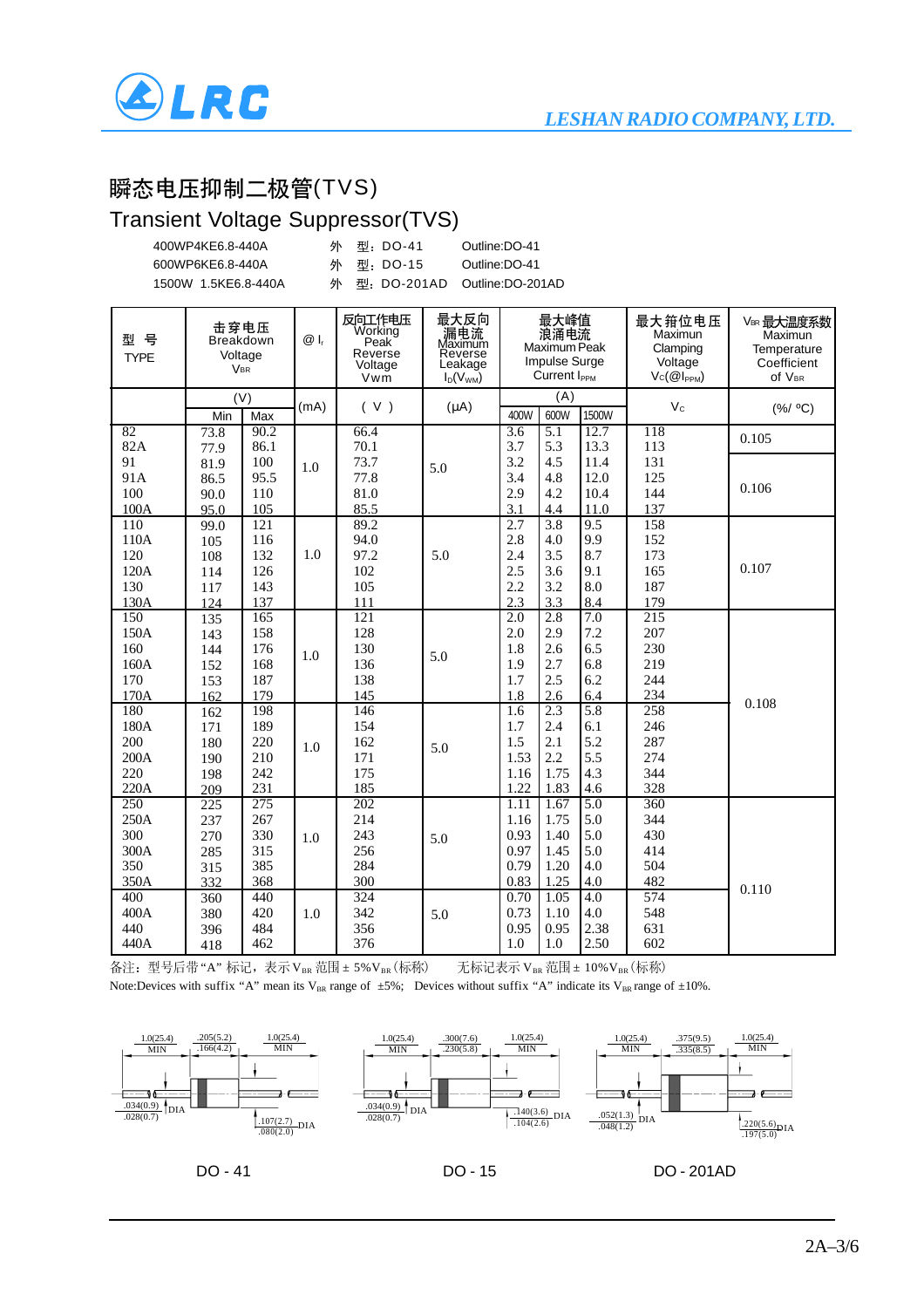

### 瞬态电压抑制二极管(TVS)

### Transient Voltage Suppressor(TVS)

| 400WP4KE6.8-440A    | 外 型: DO-41 | Outline:DO-41                  |
|---------------------|------------|--------------------------------|
| 600WP6KE6.8-440A    | 外 型:DO-15  | Outline:DO-41                  |
| 1500W 1.5KE6.8-440A |            | 外 型: DO-201AD Outline:DO-201AD |

| 型<br>뮥<br><b>TYPE</b> | 击穿电压<br>Breakdown<br>Voltage<br><b>VBR</b> |            | $@I_r$ | 反向工作电压<br>Working<br>Peak <sup>'</sup><br>Reverse<br>Voltage<br>Vwm | 最大反向<br>漏电流<br>Maximum<br>Reverse<br>Leakage<br>$I_D(V_{WM})$ | 最大峰值<br>浪涌电流<br>Maximum Peak<br><b>Impulse Surge</b><br>Current I <sub>PPM</sub> |                  | 最大箝位电压<br>Maximun<br>Clamping<br>Voltage<br>$Vc(\mathcal{Q} _{PPM})$ | VBR 最大温度系数<br>Maximun<br>Temperature<br>Coefficient<br>Of VBR |          |
|-----------------------|--------------------------------------------|------------|--------|---------------------------------------------------------------------|---------------------------------------------------------------|----------------------------------------------------------------------------------|------------------|----------------------------------------------------------------------|---------------------------------------------------------------|----------|
|                       | Min                                        | (V)<br>Max | (mA)   | (V)                                                                 | $(\mu A)$                                                     | 400W                                                                             | (A)<br>600W      | 1500W                                                                | $V_c$                                                         | (% / OC) |
| 82                    | 73.8                                       | 90.2       |        | 66.4                                                                |                                                               | 3.6                                                                              | 5.1              | 12.7                                                                 | 118                                                           | 0.105    |
| 82A                   | 77.9                                       | 86.1       |        | 70.1                                                                |                                                               | 3.7                                                                              | 5.3              | 13.3                                                                 | 113                                                           |          |
| 91                    | 81.9                                       | 100        | 1.0    | 73.7                                                                | 5.0                                                           | 3.2                                                                              | 4.5              | 11.4                                                                 | 131                                                           |          |
| 91A                   | 86.5                                       | 95.5       |        | 77.8                                                                |                                                               | 3.4                                                                              | 4.8              | 12.0                                                                 | 125                                                           | 0.106    |
| 100                   | 90.0                                       | 110        |        | 81.0                                                                |                                                               | 2.9                                                                              | 4.2              | 10.4                                                                 | 144                                                           |          |
| 100A                  | 95.0                                       | 105        |        | 85.5                                                                |                                                               | 3.1                                                                              | 4.4              | 11.0                                                                 | 137                                                           |          |
| 110                   | 99.0                                       | 121        |        | 89.2<br>94.0                                                        |                                                               | 2.7<br>2.8                                                                       | $\overline{3.8}$ | 9.5<br>9.9                                                           | 158<br>152                                                    |          |
| 110A<br>120           | 105                                        | 116<br>132 | 1.0    | 97.2                                                                | 5.0                                                           | 2.4                                                                              | 4.0<br>3.5       | 8.7                                                                  | 173                                                           |          |
| 120A                  | 108<br>114                                 | 126        |        | 102                                                                 |                                                               | 2.5                                                                              | 3.6              | 9.1                                                                  | 165                                                           | 0.107    |
| 130                   | 117                                        | 143        |        | 105                                                                 |                                                               | 2.2                                                                              | 3.2              | 8.0                                                                  | 187                                                           |          |
| 130A                  | 124                                        | 137        |        | 111                                                                 |                                                               | 2.3                                                                              | 3.3              | 8.4                                                                  | 179                                                           |          |
| 150                   | 135                                        | 165        |        | 121                                                                 |                                                               | 2.0                                                                              | 2.8              | $\overline{7.0}$                                                     | $\overline{215}$                                              |          |
| 150A                  | 143                                        | 158        |        | 128                                                                 |                                                               | 2.0                                                                              | 2.9              | 7.2                                                                  | 207                                                           |          |
| 160                   | 144                                        | 176        |        | 130                                                                 |                                                               | 1.8                                                                              | 2.6              | 6.5                                                                  | 230                                                           |          |
| 160A                  | 152                                        | 168        | 1.0    | 136                                                                 | 5.0                                                           | 1.9                                                                              | 2.7              | 6.8                                                                  | 219                                                           |          |
| 170                   | 153                                        | 187        |        | 138                                                                 |                                                               | 1.7                                                                              | 2.5              | 6.2                                                                  | 244                                                           |          |
| 170A                  | 162                                        | 179        |        | 145                                                                 |                                                               | 1.8                                                                              | 2.6              | 6.4                                                                  | 234                                                           |          |
| 180                   | 162                                        | 198        |        | 146                                                                 |                                                               | 1.6                                                                              | 2.3              | 5.8                                                                  | 258                                                           | 0.108    |
| 180A                  | 171                                        | 189        |        | 154                                                                 |                                                               | 1.7                                                                              | 2.4              | 6.1                                                                  | 246                                                           |          |
| 200                   | 180                                        | 220        | 1.0    | 162                                                                 | 5.0                                                           | 1.5                                                                              | 2.1              | 5.2                                                                  | 287                                                           |          |
| 200A                  | 190                                        | 210        |        | 171                                                                 |                                                               | 1.53                                                                             | 2.2              | 5.5                                                                  | 274                                                           |          |
| 220                   | 198                                        | 242        |        | 175                                                                 |                                                               | 1.16                                                                             | 1.75             | 4.3                                                                  | 344                                                           |          |
| 220A                  | 209                                        | 231        |        | 185                                                                 |                                                               | 1.22                                                                             | 1.83             | 4.6                                                                  | 328                                                           |          |
| 250                   | 225                                        | 275        |        | 202                                                                 |                                                               | 1.11                                                                             | 1.67             | $\overline{5.0}$                                                     | 360                                                           |          |
| 250A                  | 237                                        | 267        |        | 214                                                                 |                                                               | 1.16                                                                             | 1.75             | 5.0                                                                  | 344                                                           |          |
| 300                   | 270                                        | 330        | 1.0    | 243                                                                 | 5.0                                                           | 0.93                                                                             | 1.40             | 5.0                                                                  | 430                                                           |          |
| 300A                  | 285                                        | 315        |        | 256                                                                 |                                                               | 0.97                                                                             | 1.45             | 5.0                                                                  | 414                                                           |          |
| 350                   | 315                                        | 385        |        | 284                                                                 |                                                               | 0.79                                                                             | 1.20             | 4.0                                                                  | 504                                                           |          |
| 350A                  | 332                                        | 368        |        | 300                                                                 |                                                               | 0.83                                                                             | 1.25             | 4.0                                                                  | 482                                                           | 0.110    |
| 400                   | 360                                        | 440        |        | 324                                                                 |                                                               | 0.70                                                                             | 1.05             | 4.0                                                                  | 574                                                           |          |
| 400A                  | 380                                        | 420        | 1.0    | 342                                                                 | 5.0                                                           | 0.73                                                                             | 1.10             | 4.0                                                                  | 548                                                           |          |
| 440                   | 396                                        | 484        |        | 356                                                                 |                                                               | 0.95                                                                             | 0.95             | 2.38                                                                 | 631                                                           |          |
| 440A                  | 418                                        | 462        |        | 376                                                                 |                                                               | 1.0                                                                              | 1.0              | 2.50                                                                 | 602                                                           |          |

备注: 型号后带"A"标记,表示VBR 范围 ± 5%VBR (标称)<br>
无标记表示VBR 范围 ± 10%VBR (标称) Note:Devices with suffix "A" mean its V<sub>BR</sub> range of  $\pm 5\%$ ; Devices without suffix "A" indicate its V<sub>BR</sub> range of  $\pm 10\%$ .

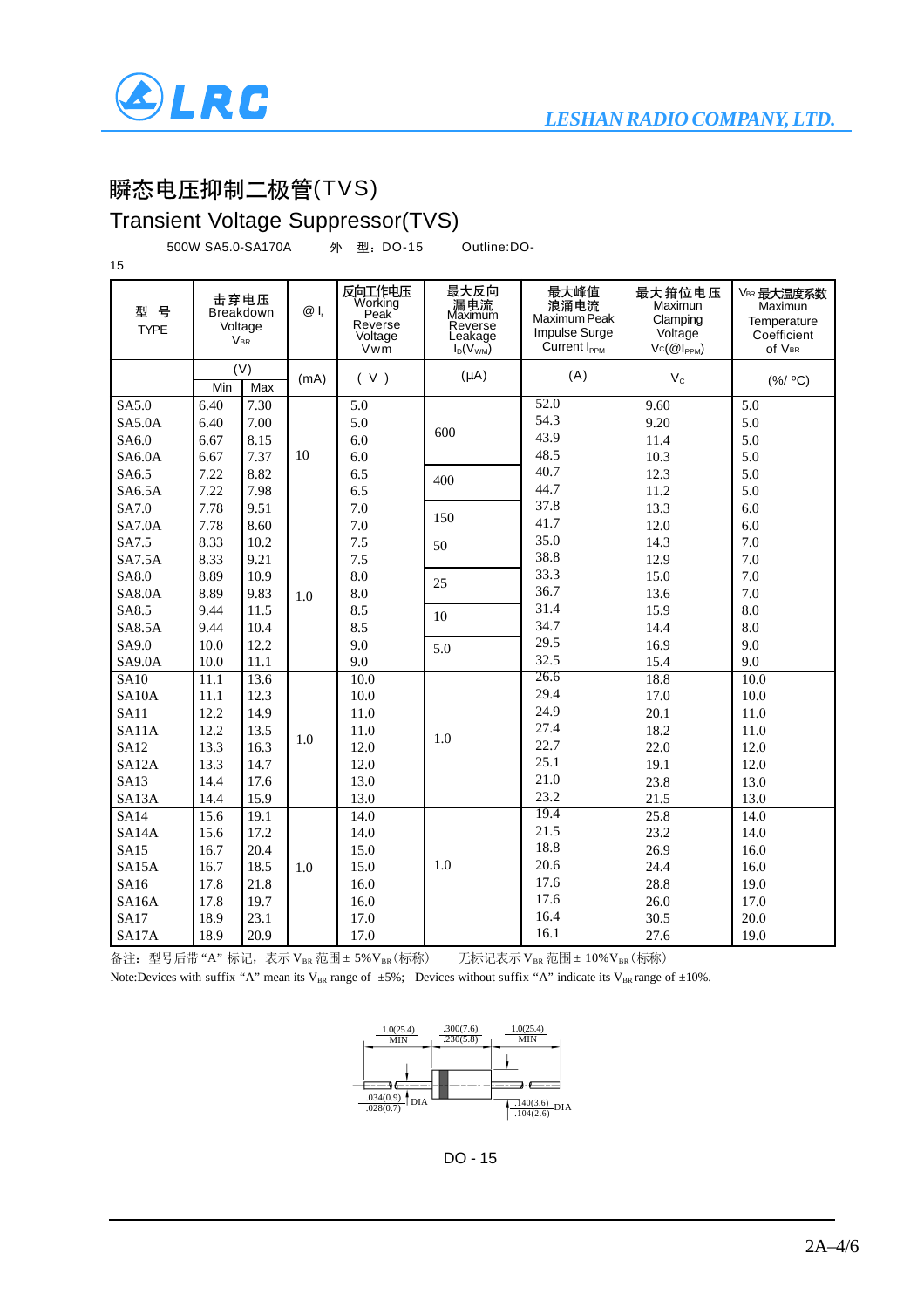

# 瞬态电压抑制二极管(TVS)

Transient Voltage Suppressor(TVS)

500W SA5.0-SA170A DO-15 Outline:DO-

| 15                                                        |                                                              |                                      |      |                                                        |                                                               |                                                                                  |                                                                      |                                                               |
|-----------------------------------------------------------|--------------------------------------------------------------|--------------------------------------|------|--------------------------------------------------------|---------------------------------------------------------------|----------------------------------------------------------------------------------|----------------------------------------------------------------------|---------------------------------------------------------------|
| 뮥<br>型<br><b>TYPE</b>                                     | 击穿电压<br><b>Breakdown</b><br>Voltage<br><b>V<sub>BR</sub></b> |                                      | @ I, | 反向工作电压<br>Working<br>Peak<br>Reverse<br>Voltage<br>Vwm | 最大反向<br>漏电流<br>Maximum<br>Reverse<br>Leakage<br>$I_D(V_{WM})$ | 最大峰值<br>浪涌电流<br>Maximum Peak<br><b>Impulse Surge</b><br>Current I <sub>ppM</sub> | 最大箝位电压<br>Maximun<br>Clamping<br>Voltage<br>$Vc(\mathcal{Q}I_{PPM})$ | VBR 最大温度系数<br>Maximun<br>Temperature<br>Coefficient<br>Of VBR |
|                                                           | Min                                                          | (V)<br>Max                           | (mA) | (V)                                                    | $(\mu A)$                                                     | (A)                                                                              | $V_c$                                                                | (% / OC)                                                      |
| SA5.0<br><b>SA5.0A</b><br>SA6.0<br><b>SA6.0A</b><br>SA6.5 | 6.40<br>6.40<br>6.67<br>6.67<br>7.22                         | 7.30<br>7.00<br>8.15<br>7.37<br>8.82 | 10   | 5.0<br>5.0<br>6.0<br>6.0<br>6.5                        | 600                                                           | 52.0<br>54.3<br>43.9<br>48.5<br>40.7                                             | 9.60<br>9.20<br>11.4<br>10.3<br>12.3                                 | 5.0<br>5.0<br>5.0<br>5.0<br>5.0                               |
| <b>SA6.5A</b><br>SA7.0<br><b>SA7.0A</b>                   | 7.22<br>7.78<br>7.78                                         | 7.98<br>9.51<br>8.60                 |      | 6.5<br>7.0<br>7.0                                      | 400<br>150                                                    | 44.7<br>37.8<br>41.7                                                             | 11.2<br>13.3<br>12.0                                                 | 5.0<br>6.0<br>6.0                                             |
| SA7.5<br>SA7.5A                                           | 8.33<br>8.33                                                 | 10.2<br>9.21                         |      | 7.5<br>7.5                                             | 50                                                            | 35.0<br>38.8<br>33.3                                                             | 14.3<br>12.9                                                         | 7.0<br>7.0                                                    |
| SA8.0<br><b>SA8.0A</b><br>SA8.5                           | 8.89<br>8.89<br>9.44                                         | 10.9<br>9.83<br>11.5                 | 1.0  | 8.0<br>8.0<br>8.5                                      | 25                                                            | 36.7<br>31.4                                                                     | 15.0<br>13.6<br>15.9                                                 | 7.0<br>7.0<br>8.0                                             |
| <b>SA8.5A</b><br>SA9.0                                    | 9.44<br>10.0                                                 | 10.4<br>12.2                         |      | 8.5<br>9.0                                             | 10<br>5.0                                                     | 34.7<br>29.5                                                                     | 14.4<br>16.9                                                         | 8.0<br>9.0                                                    |
| <b>SA9.0A</b><br><b>SA10</b>                              | 10.0<br>11.1                                                 | 11.1<br>13.6                         |      | 9.0<br>10.0                                            |                                                               | 32.5<br>26.6                                                                     | 15.4<br>18.8                                                         | 9.0<br>10.0                                                   |
| SA10A<br><b>SA11</b><br>SA11A                             | 11.1<br>12.2<br>12.2                                         | 12.3<br>14.9<br>13.5                 |      | 10.0<br>11.0<br>11.0                                   |                                                               | 29.4<br>24.9<br>27.4                                                             | 17.0<br>20.1<br>18.2                                                 | 10.0<br>11.0<br>11.0                                          |
| <b>SA12</b><br>SA12A<br><b>SA13</b>                       | 13.3<br>13.3<br>14.4                                         | 16.3<br>14.7<br>17.6                 | 1.0  | 12.0<br>12.0<br>13.0                                   | 1.0                                                           | 22.7<br>25.1<br>21.0                                                             | 22.0<br>19.1<br>23.8                                                 | 12.0<br>12.0<br>13.0                                          |
| SA13A<br><b>SA14</b>                                      | 14.4<br>15.6                                                 | 15.9<br>19.1                         |      | 13.0<br>14.0                                           |                                                               | 23.2<br>19.4                                                                     | 21.5<br>25.8                                                         | 13.0<br>14.0                                                  |
| SA <sub>14</sub> A<br><b>SA15</b><br>SA15A                | 15.6<br>16.7<br>16.7                                         | 17.2<br>20.4<br>18.5                 | 1.0  | 14.0<br>15.0<br>15.0                                   | 1.0                                                           | 21.5<br>18.8<br>20.6                                                             | 23.2<br>26.9<br>24.4                                                 | 14.0<br>16.0<br>16.0                                          |
| SA16<br>SA16A<br><b>SA17</b>                              | 17.8<br>17.8<br>18.9                                         | 21.8<br>19.7<br>23.1                 |      | 16.0<br>16.0<br>17.0                                   |                                                               | 17.6<br>17.6<br>16.4                                                             | 28.8<br>26.0<br>30.5                                                 | 19.0<br>17.0<br>20.0                                          |
| SA17A                                                     | 18.9                                                         | 20.9                                 |      | 17.0                                                   |                                                               | 16.1                                                                             | 27.6                                                                 | 19.0                                                          |

备注: 型号后带 "A" 标记, 表示 V<sub>BR</sub> 范围 ± 5% V<sub>BR</sub> (标称)<br>
无标记表示 V<sub>BR</sub> 范围 ± 10% V<sub>BR</sub> (标称)



DO - 15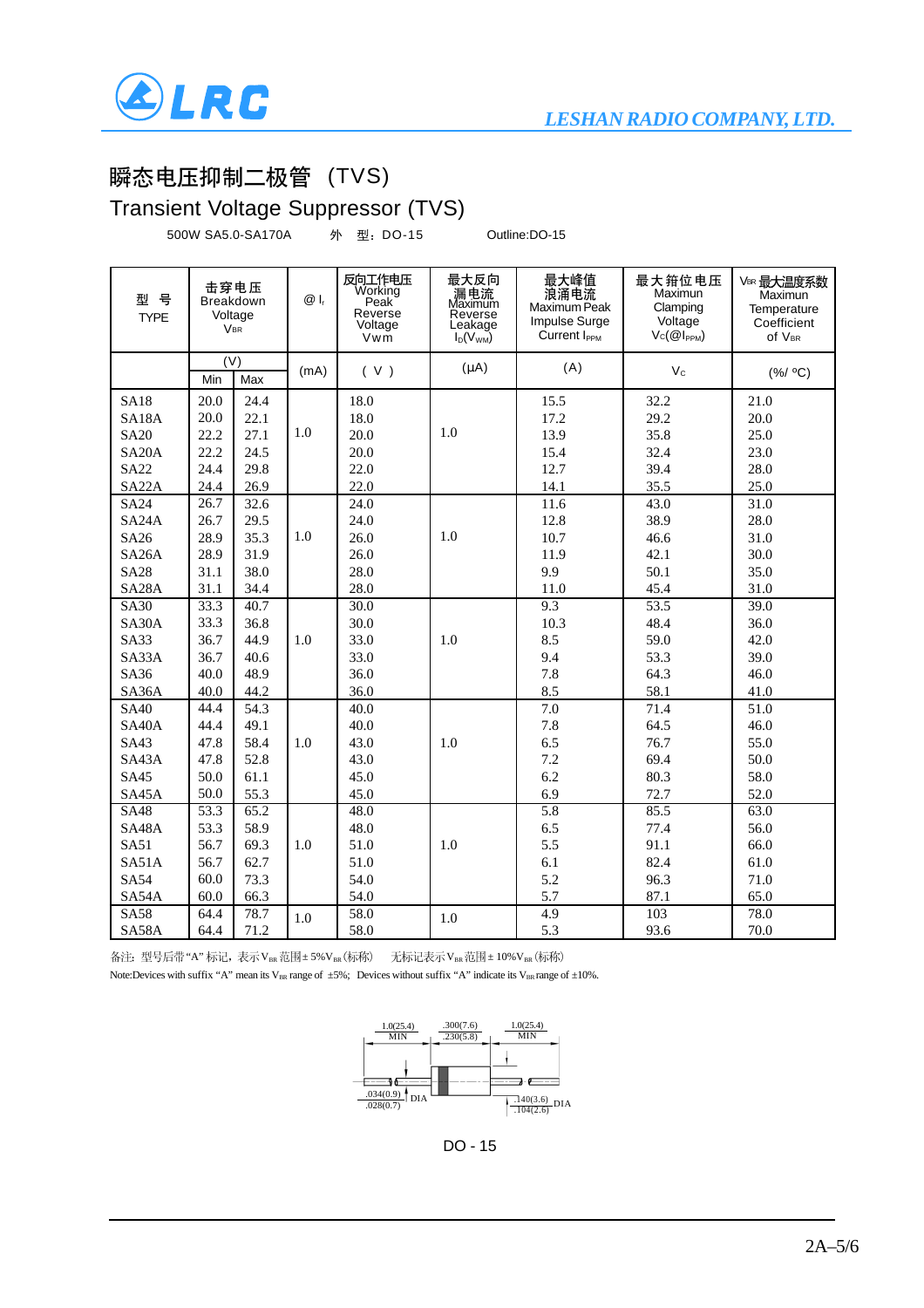

# 瞬态电压抑制二极管 (TVS)

#### Transient Voltage Suppressor (TVS)

500W SA5.0-SA170A 外 型: DO-15 Outline:DO-15

| 뮥<br>型<br><b>TYPE</b> | 击穿电压<br><b>Breakdown</b><br>Voltage<br><b>VBR</b> |      | $@I_r$ | 反向工作电压<br>Working<br>Peak <sup>'</sup><br>Reverse<br>Voltage<br>Vwm | 最大反向<br>漏电流<br>Maximum<br>Reverse<br>Leakage<br>$I_D(V_{WM})$ | 最大峰值<br>浪涌电流<br>Maximum Peak<br><b>Impulse Surge</b><br>Current I <sub>PPM</sub> | 最大箝位电压<br>Maximun<br>Clamping<br>Voltage<br>$Vc(@I_{PPM})$ | VBR 最大温度系数<br>Maximun<br>Temperature<br>Coefficient<br>Of VBR |
|-----------------------|---------------------------------------------------|------|--------|---------------------------------------------------------------------|---------------------------------------------------------------|----------------------------------------------------------------------------------|------------------------------------------------------------|---------------------------------------------------------------|
|                       | (V)<br>Min                                        | Max  | (mA)   | (V)                                                                 | $(\mu A)$                                                     | (A)                                                                              | $V_{\rm C}$                                                | (% / OC)                                                      |
| <b>SA18</b>           | 20.0                                              | 24.4 |        | 18.0                                                                |                                                               | 15.5                                                                             | 32.2                                                       | 21.0                                                          |
| SA18A                 | 20.0                                              | 22.1 |        | 18.0                                                                |                                                               | 17.2                                                                             | 29.2                                                       | 20.0                                                          |
| <b>SA20</b>           | 22.2                                              | 27.1 | 1.0    | 20.0                                                                | 1.0                                                           | 13.9                                                                             | 35.8                                                       | 25.0                                                          |
| SA <sub>20</sub> A    | 22.2                                              | 24.5 |        | 20.0                                                                |                                                               | 15.4                                                                             | 32.4                                                       | 23.0                                                          |
| <b>SA22</b>           | 24.4                                              | 29.8 |        | 22.0                                                                |                                                               | 12.7                                                                             | 39.4                                                       | 28.0                                                          |
| SA <sub>22</sub> A    | 24.4                                              | 26.9 |        | 22.0                                                                |                                                               | 14.1                                                                             | 35.5                                                       | 25.0                                                          |
| <b>SA24</b>           | 26.7                                              | 32.6 |        | 24.0                                                                |                                                               | 11.6                                                                             | 43.0                                                       | 31.0                                                          |
| SA <sub>24</sub> A    | 26.7                                              | 29.5 |        | 24.0                                                                |                                                               | 12.8                                                                             | 38.9                                                       | 28.0                                                          |
| SA26                  | 28.9                                              | 35.3 | 1.0    | 26.0                                                                | 1.0                                                           | 10.7                                                                             | 46.6                                                       | 31.0                                                          |
| <b>SA26A</b>          | 28.9                                              | 31.9 |        | 26.0                                                                |                                                               | 11.9                                                                             | 42.1                                                       | 30.0                                                          |
| <b>SA28</b>           | 31.1                                              | 38.0 |        | 28.0                                                                |                                                               | 9.9                                                                              | 50.1                                                       | 35.0                                                          |
| SA <sub>28</sub> A    | 31.1                                              | 34.4 |        | 28.0                                                                |                                                               | 11.0                                                                             | 45.4                                                       | 31.0                                                          |
| <b>SA30</b>           | 33.3                                              | 40.7 |        | 30.0                                                                |                                                               | 9.3                                                                              | 53.5                                                       | 39.0                                                          |
| SA30A                 | 33.3                                              | 36.8 |        | 30.0                                                                |                                                               | 10.3                                                                             | 48.4                                                       | 36.0                                                          |
| <b>SA33</b>           | 36.7                                              | 44.9 | 1.0    | 33.0                                                                | 1.0                                                           | 8.5                                                                              | 59.0                                                       | 42.0                                                          |
| SA33A                 | 36.7                                              | 40.6 |        | 33.0                                                                |                                                               | 9.4                                                                              | 53.3                                                       | 39.0                                                          |
| <b>SA36</b>           | 40.0                                              | 48.9 |        | 36.0                                                                |                                                               | 7.8                                                                              | 64.3                                                       | 46.0                                                          |
| SA36A                 | 40.0                                              | 44.2 |        | 36.0                                                                |                                                               | 8.5                                                                              | 58.1                                                       | 41.0                                                          |
| <b>SA40</b>           | 44.4                                              | 54.3 |        | 40.0                                                                |                                                               | 7.0                                                                              | 71.4                                                       | 51.0                                                          |
| SA40A                 | 44.4                                              | 49.1 |        | 40.0                                                                |                                                               | 7.8                                                                              | 64.5                                                       | 46.0                                                          |
| SA43                  | 47.8                                              | 58.4 | 1.0    | 43.0                                                                | 1.0                                                           | 6.5                                                                              | 76.7                                                       | 55.0                                                          |
| SA43A                 | 47.8                                              | 52.8 |        | 43.0                                                                |                                                               | 7.2                                                                              | 69.4                                                       | 50.0                                                          |
| <b>SA45</b>           | 50.0                                              | 61.1 |        | 45.0                                                                |                                                               | 6.2                                                                              | 80.3                                                       | 58.0                                                          |
| SA45A                 | 50.0                                              | 55.3 |        | 45.0                                                                |                                                               | 6.9                                                                              | 72.7                                                       | 52.0                                                          |
| <b>SA48</b>           | 53.3                                              | 65.2 |        | 48.0                                                                |                                                               | 5.8                                                                              | 85.5                                                       | 63.0                                                          |
| SA48A                 | 53.3                                              | 58.9 |        | 48.0                                                                |                                                               | 6.5                                                                              | 77.4                                                       | 56.0                                                          |
| <b>SA51</b>           | 56.7                                              | 69.3 | 1.0    | 51.0                                                                | 1.0                                                           | 5.5                                                                              | 91.1                                                       | 66.0                                                          |
| SA51A                 | 56.7                                              | 62.7 |        | 51.0                                                                |                                                               | 6.1                                                                              | 82.4                                                       | 61.0                                                          |
| <b>SA54</b>           | 60.0                                              | 73.3 |        | 54.0                                                                |                                                               | 5.2                                                                              | 96.3                                                       | 71.0                                                          |
| SA54A                 | 60.0                                              | 66.3 |        | 54.0                                                                |                                                               | 5.7                                                                              | 87.1                                                       | 65.0                                                          |
| <b>SA58</b>           | 64.4                                              | 78.7 | 1.0    | 58.0                                                                | 1.0                                                           | 4.9                                                                              | 103                                                        | 78.0                                                          |
| SA58A                 | 64.4                                              | 71.2 |        | 58.0                                                                |                                                               | 5.3                                                                              | 93.6                                                       | 70.0                                                          |

备注: 型号后带"A" 标记, 表示 VBR 范围 ± 5% VBR (标称) 无标记表示 VBR 范围 ± 10% VBR (标称)



DO - 15